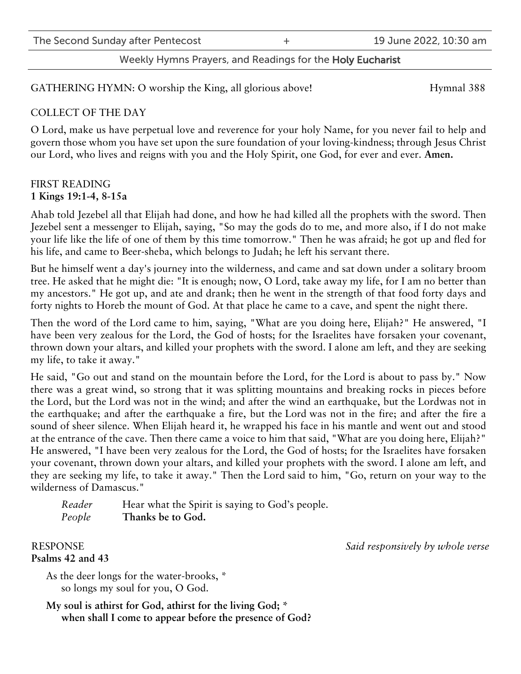The Second Sunday after Pentecost  $+$  19 June 2022, 10:30 am

Weekly Hymns Prayers, and Readings for the Holy Eucharist

GATHERING HYMN: O worship the King, all glorious above! Hymnal 388

# COLLECT OF THE DAY

O Lord, make us have perpetual love and reverence for your holy Name, for you never fail to help and govern those whom you have set upon the sure foundation of your loving-kindness; through Jesus Christ our Lord, who lives and reigns with you and the Holy Spirit, one God, for ever and ever. **Amen.**

### FIRST READING **1 Kings 19:1-4, 8-15a**

Ahab told Jezebel all that Elijah had done, and how he had killed all the prophets with the sword. Then Jezebel sent a messenger to Elijah, saying, "So may the gods do to me, and more also, if I do not make your life like the life of one of them by this time tomorrow." Then he was afraid; he got up and fled for his life, and came to Beer-sheba, which belongs to Judah; he left his servant there.

But he himself went a day's journey into the wilderness, and came and sat down under a solitary broom tree. He asked that he might die: "It is enough; now, O Lord, take away my life, for I am no better than my ancestors." He got up, and ate and drank; then he went in the strength of that food forty days and forty nights to Horeb the mount of God. At that place he came to a cave, and spent the night there.

Then the word of the Lord came to him, saying, "What are you doing here, Elijah?" He answered, "I have been very zealous for the Lord, the God of hosts; for the Israelites have forsaken your covenant, thrown down your altars, and killed your prophets with the sword. I alone am left, and they are seeking my life, to take it away."

He said, "Go out and stand on the mountain before the Lord, for the Lord is about to pass by." Now there was a great wind, so strong that it was splitting mountains and breaking rocks in pieces before the Lord, but the Lord was not in the wind; and after the wind an earthquake, but the Lordwas not in the earthquake; and after the earthquake a fire, but the Lord was not in the fire; and after the fire a sound of sheer silence. When Elijah heard it, he wrapped his face in his mantle and went out and stood at the entrance of the cave. Then there came a voice to him that said, "What are you doing here, Elijah?" He answered, "I have been very zealous for the Lord, the God of hosts; for the Israelites have forsaken your covenant, thrown down your altars, and killed your prophets with the sword. I alone am left, and they are seeking my life, to take it away." Then the Lord said to him, "Go, return on your way to the wilderness of Damascus."

| Reader | Hear what the Spirit is saying to God's people. |
|--------|-------------------------------------------------|
| People | Thanks be to God.                               |

RESPONSE *Said responsively by whole verse*

## **Psalms 42 and 43**

As the deer longs for the water-brooks, \* so longs my soul for you, O God.

**My soul is athirst for God, athirst for the living God; \* when shall I come to appear before the presence of God?**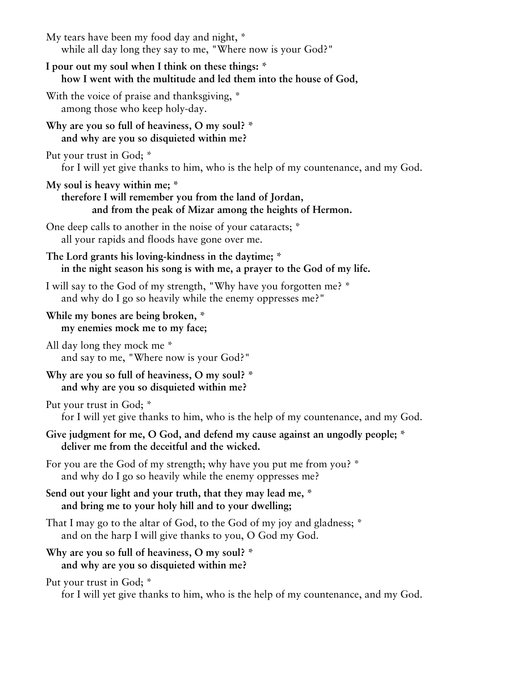| My tears have been my food day and night, *<br>while all day long they say to me, "Where now is your God?"                                         |
|----------------------------------------------------------------------------------------------------------------------------------------------------|
| I pour out my soul when I think on these things: *<br>how I went with the multitude and led them into the house of God,                            |
| With the voice of praise and thanksgiving, *<br>among those who keep holy-day.                                                                     |
| Why are you so full of heaviness, O my soul? *<br>and why are you so disquieted within me?                                                         |
| Put your trust in God; *<br>for I will yet give thanks to him, who is the help of my countenance, and my God.                                      |
| My soul is heavy within me; *<br>therefore I will remember you from the land of Jordan,<br>and from the peak of Mizar among the heights of Hermon. |
| One deep calls to another in the noise of your cataracts; *<br>all your rapids and floods have gone over me.                                       |
| The Lord grants his loving-kindness in the daytime; *<br>in the night season his song is with me, a prayer to the God of my life.                  |
| I will say to the God of my strength, "Why have you forgotten me? *<br>and why do I go so heavily while the enemy oppresses me?"                   |
| While my bones are being broken, *<br>my enemies mock me to my face;                                                                               |
| All day long they mock me *<br>and say to me, "Where now is your God?"                                                                             |
| Why are you so full of heaviness, O my soul? *<br>and why are you so disquieted within me?                                                         |
| Put your trust in God; *<br>for I will yet give thanks to him, who is the help of my countenance, and my God.                                      |
| Give judgment for me, O God, and defend my cause against an ungodly people; *<br>deliver me from the deceitful and the wicked.                     |
| For you are the God of my strength; why have you put me from you? *<br>and why do I go so heavily while the enemy oppresses me?                    |
| Send out your light and your truth, that they may lead me, *<br>and bring me to your holy hill and to your dwelling;                               |
| That I may go to the altar of God, to the God of my joy and gladness; *<br>and on the harp I will give thanks to you, O God my God.                |
| Why are you so full of heaviness, O my soul? *<br>and why are you so disquieted within me?                                                         |
| Put your trust in God; *<br>for I will yet give thanks to him, who is the help of my countenance, and my God.                                      |
|                                                                                                                                                    |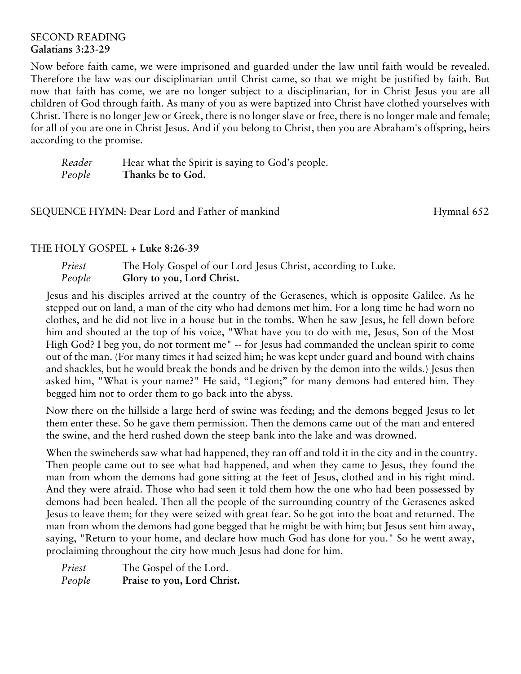# SECOND READING **Galatians 3:23-29**

Now before faith came, we were imprisoned and guarded under the law until faith would be revealed. Therefore the law was our disciplinarian until Christ came, so that we might be justified by faith. But now that faith has come, we are no longer subject to a disciplinarian, for in Christ Jesus you are all children of God through faith. As many of you as were baptized into Christ have clothed yourselves with Christ. There is no longer Jew or Greek, there is no longer slave or free, there is no longer male and female; for all of you are one in Christ Jesus. And if you belong to Christ, then you are Abraham's offspring, heirs according to the promise.

| Reader | Hear what the Spirit is saying to God's people. |
|--------|-------------------------------------------------|
| People | Thanks be to God.                               |

#### SEQUENCE HYMN: Dear Lord and Father of mankind Hymnal 652

#### THE HOLY GOSPEL + **Luke 8:26-39**

| Priest | The Holy Gospel of our Lord Jesus Christ, according to Luke. |
|--------|--------------------------------------------------------------|
| People | Glory to you, Lord Christ.                                   |

Jesus and his disciples arrived at the country of the Gerasenes, which is opposite Galilee. As he stepped out on land, a man of the city who had demons met him. For a long time he had worn no clothes, and he did not live in a house but in the tombs. When he saw Jesus, he fell down before him and shouted at the top of his voice, "What have you to do with me, Jesus, Son of the Most High God? I beg you, do not torment me" -- for Jesus had commanded the unclean spirit to come out of the man. (For many times it had seized him; he was kept under guard and bound with chains and shackles, but he would break the bonds and be driven by the demon into the wilds.) Jesus then asked him, "What is your name?" He said, "Legion;" for many demons had entered him. They begged him not to order them to go back into the abyss.

Now there on the hillside a large herd of swine was feeding; and the demons begged Jesus to let them enter these. So he gave them permission. Then the demons came out of the man and entered the swine, and the herd rushed down the steep bank into the lake and was drowned.

When the swineherds saw what had happened, they ran off and told it in the city and in the country. Then people came out to see what had happened, and when they came to Jesus, they found the man from whom the demons had gone sitting at the feet of Jesus, clothed and in his right mind. And they were afraid. Those who had seen it told them how the one who had been possessed by demons had been healed. Then all the people of the surrounding country of the Gerasenes asked Jesus to leave them; for they were seized with great fear. So he got into the boat and returned. The man from whom the demons had gone begged that he might be with him; but Jesus sent him away, saying, "Return to your home, and declare how much God has done for you." So he went away, proclaiming throughout the city how much Jesus had done for him.

| Priest | The Gospel of the Lord.     |
|--------|-----------------------------|
| People | Praise to you, Lord Christ. |